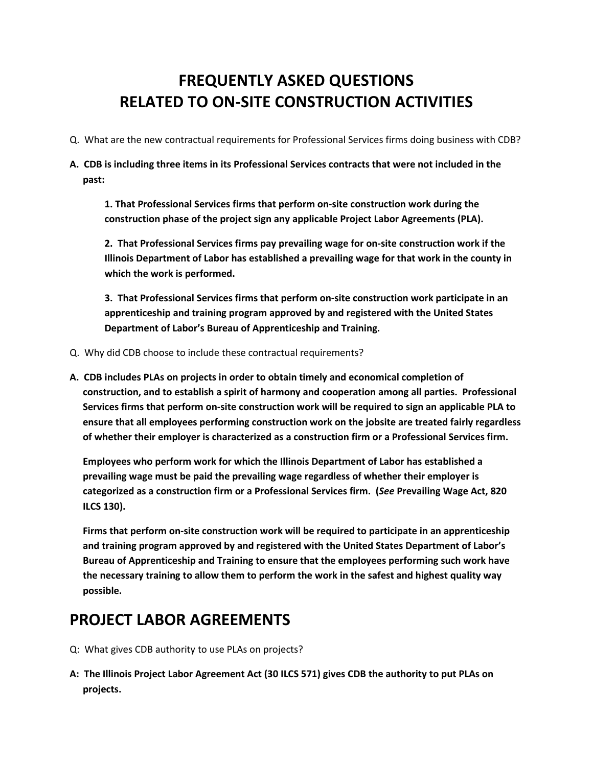## **FREQUENTLY ASKED QUESTIONS RELATED TO ON-SITE CONSTRUCTION ACTIVITIES**

- Q. What are the new contractual requirements for Professional Services firms doing business with CDB?
- **A. CDB is including three items in its Professional Services contracts that were not included in the past:**

**1. That Professional Services firms that perform on-site construction work during the construction phase of the project sign any applicable Project Labor Agreements (PLA).**

**2. That Professional Services firms pay prevailing wage for on-site construction work if the Illinois Department of Labor has established a prevailing wage for that work in the county in which the work is performed.**

**3. That Professional Services firms that perform on-site construction work participate in an apprenticeship and training program approved by and registered with the United States Department of Labor's Bureau of Apprenticeship and Training.**

- Q. Why did CDB choose to include these contractual requirements?
- **A. CDB includes PLAs on projects in order to obtain timely and economical completion of construction, and to establish a spirit of harmony and cooperation among all parties. Professional Services firms that perform on-site construction work will be required to sign an applicable PLA to ensure that all employees performing construction work on the jobsite are treated fairly regardless of whether their employer is characterized as a construction firm or a Professional Services firm.**

**Employees who perform work for which the Illinois Department of Labor has established a prevailing wage must be paid the prevailing wage regardless of whether their employer is categorized as a construction firm or a Professional Services firm. (***See* **Prevailing Wage Act, 820 ILCS 130).**

**Firms that perform on-site construction work will be required to participate in an apprenticeship and training program approved by and registered with the United States Department of Labor's Bureau of Apprenticeship and Training to ensure that the employees performing such work have the necessary training to allow them to perform the work in the safest and highest quality way possible.**

## **PROJECT LABOR AGREEMENTS**

- Q: What gives CDB authority to use PLAs on projects?
- **A: The Illinois Project Labor Agreement Act (30 ILCS 571) gives CDB the authority to put PLAs on projects.**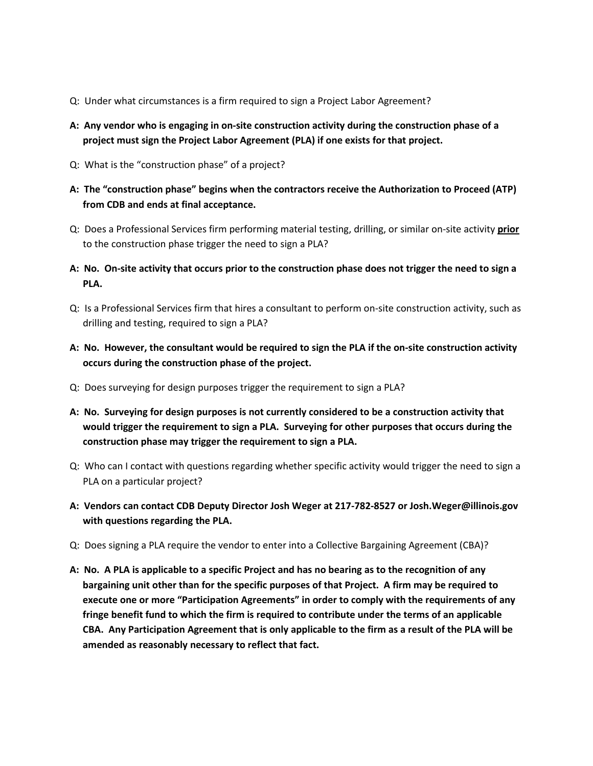- Q: Under what circumstances is a firm required to sign a Project Labor Agreement?
- **A: Any vendor who is engaging in on-site construction activity during the construction phase of a project must sign the Project Labor Agreement (PLA) if one exists for that project.**
- Q: What is the "construction phase" of a project?
- **A: The "construction phase" begins when the contractors receive the Authorization to Proceed (ATP) from CDB and ends at final acceptance.**
- Q: Does a Professional Services firm performing material testing, drilling, or similar on-site activity **prior** to the construction phase trigger the need to sign a PLA?
- **A: No. On-site activity that occurs prior to the construction phase does not trigger the need to sign a PLA.**
- Q: Is a Professional Services firm that hires a consultant to perform on-site construction activity, such as drilling and testing, required to sign a PLA?
- **A: No. However, the consultant would be required to sign the PLA if the on-site construction activity occurs during the construction phase of the project.**
- Q: Does surveying for design purposes trigger the requirement to sign a PLA?
- **A: No. Surveying for design purposes is not currently considered to be a construction activity that would trigger the requirement to sign a PLA. Surveying for other purposes that occurs during the construction phase may trigger the requirement to sign a PLA.**
- Q: Who can I contact with questions regarding whether specific activity would trigger the need to sign a PLA on a particular project?
- **A: Vendors can contact CDB Deputy Director Josh Weger at 217-782-8527 or Josh.Weger@illinois.gov with questions regarding the PLA.**
- Q: Does signing a PLA require the vendor to enter into a Collective Bargaining Agreement (CBA)?
- **A: No. A PLA is applicable to a specific Project and has no bearing as to the recognition of any bargaining unit other than for the specific purposes of that Project. A firm may be required to execute one or more "Participation Agreements" in order to comply with the requirements of any fringe benefit fund to which the firm is required to contribute under the terms of an applicable CBA. Any Participation Agreement that is only applicable to the firm as a result of the PLA will be amended as reasonably necessary to reflect that fact.**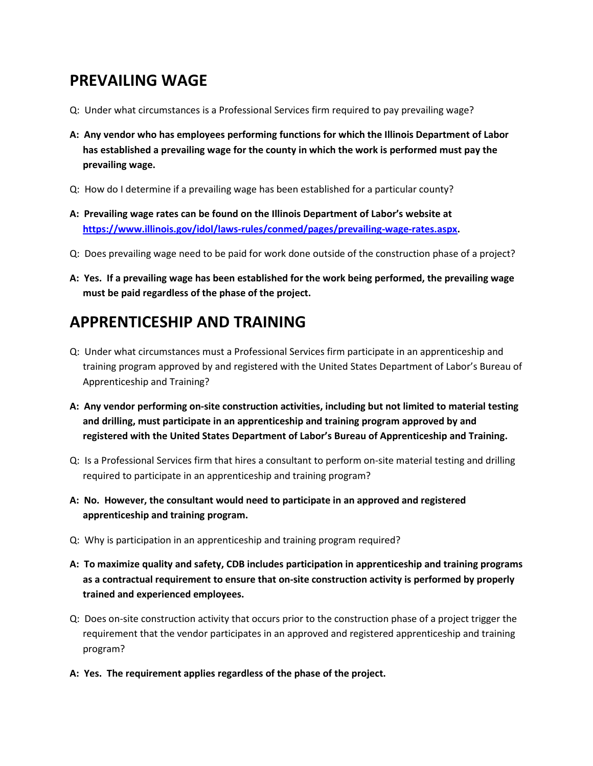## **PREVAILING WAGE**

- Q: Under what circumstances is a Professional Services firm required to pay prevailing wage?
- **A: Any vendor who has employees performing functions for which the Illinois Department of Labor has established a prevailing wage for the county in which the work is performed must pay the prevailing wage.**
- Q: How do I determine if a prevailing wage has been established for a particular county?
- **A: Prevailing wage rates can be found on the Illinois Department of Labor's website at [https://www.illinois.gov/idol/laws-rules/conmed/pages/prevailing-wage-rates.aspx.](https://www.illinois.gov/idol/laws-rules/conmed/pages/prevailing-wage-rates.aspx)**
- Q: Does prevailing wage need to be paid for work done outside of the construction phase of a project?
- **A: Yes. If a prevailing wage has been established for the work being performed, the prevailing wage must be paid regardless of the phase of the project.**

## **APPRENTICESHIP AND TRAINING**

- Q: Under what circumstances must a Professional Services firm participate in an apprenticeship and training program approved by and registered with the United States Department of Labor's Bureau of Apprenticeship and Training?
- **A: Any vendor performing on-site construction activities, including but not limited to material testing and drilling, must participate in an apprenticeship and training program approved by and registered with the United States Department of Labor's Bureau of Apprenticeship and Training.**
- Q: Is a Professional Services firm that hires a consultant to perform on-site material testing and drilling required to participate in an apprenticeship and training program?
- **A: No. However, the consultant would need to participate in an approved and registered apprenticeship and training program.**
- Q: Why is participation in an apprenticeship and training program required?
- **A: To maximize quality and safety, CDB includes participation in apprenticeship and training programs as a contractual requirement to ensure that on-site construction activity is performed by properly trained and experienced employees.**
- Q: Does on-site construction activity that occurs prior to the construction phase of a project trigger the requirement that the vendor participates in an approved and registered apprenticeship and training program?
- **A: Yes. The requirement applies regardless of the phase of the project.**